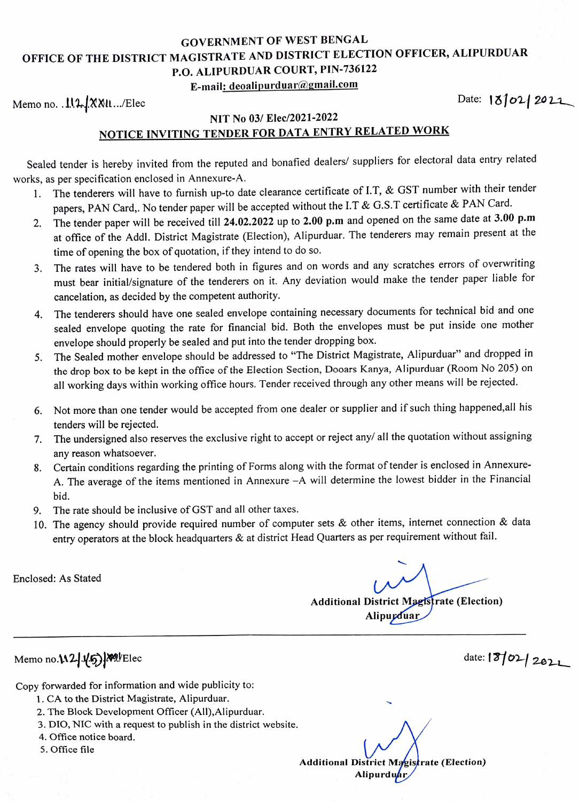## GOVERNMENT OF WEST BENGAL OFFICE OF THE DISTRICT MAGISTRATE AND DISTRICT ELECTION OFFICER, ALIPURDUAR P.O. ALIPURDUAR COURT, PIN-736122

## E-mail: deoalipurduar@gmail.com

Memo no. .11.1.1.2021

## NIT No 03/ Elec/2021-2022 NOTICE INVITING TENDER FOR DATA ENTRY RELATED WORK

Sealed tender is hereby invited from the reputed and bonafied dealers/ suppliers for electoral data entry related works, as per specification enclosed in Annexure-A.

- 1. The tenderers will have to furnish up-to date clearance certificate of I.T, & GST number with their tender papers, PAN Card,. No tender paper will be accepted without the I.T & G.S.T certificate & PAN Card.
- The tender paper will be received till 24.02.2022 up to 2.00 p.m and opened on the same date at 3.00 p.m at office of the Addl. District Magistrate (Election), Alipurduar. The tenderers may remain present at the time of opening the box of quotation, if they intend to do so. 2.
- 3. The rates will have to be tendered both in figures and on words and any scratches errors of overwriting must bear initial/signature of the tenderers on it. Any deviation would make the tender paper liable for cancelation, as decided by the competent authority.
- 4. The tenderers should have one sealed envelope containing necessary documents for technical bid and one sealed envelope quoting the rate for financial bid. Both the envelopes must be put inside one mother envelope should properly be sealed and put into the tender dropping box.
- The Sealed mother envelope should be addressed to "The District Magistrate, Alipurduar" and dropped in 5. the drop box to be kept in the office of the Election Section, Dooars Kanya, Alipurduar (Room No 205) on all working days within working office hours. Tender received through any other means will be rejected.
- 6. Not more than one tender would be accepted from one dealer or supplier and if such thing happened,all his tenders will be rejected.
- 7. The undersigned also reserves the exclusive right to accept or reject any/ all the quotation without assigning any reason whatsoever.
- Certain conditions regarding the printing of Forms along with the format of tender is enclosed in Annexure- 8. A. The average of the items mentioned in Annexure -A will determine the lowest bidder in the Financial bid.
- 9. The rate should be inclusive of GST and all other taxes.
- 10. The agency should provide required number of computer sets & other items, internet connection & data entry operators at the block headquarters & at district Head Quarters as per requirement without fail.

Enclosed: As Stated

Additional District Magtsfrate (Election) Alipupduar

Memo no. 1.12 1.45) Wellec date: 1310 2022

Copy forwarded for information and wide publicity to:

- 1. CA to the District Magistrate, Alipurduar.
- 2. The Block Development Officer (Al),Alipurduar.
- 3. DIO, NIC with a request to publish in the district website.
- 4. Office notice board.
- 5. Office file

Additional District Magistrate (Election) **Alipurdu**ar